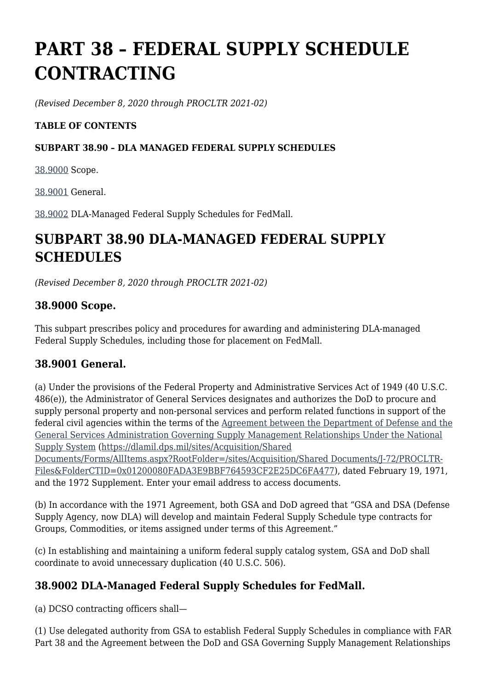# **PART 38 – FEDERAL SUPPLY SCHEDULE CONTRACTING**

*(Revised December 8, 2020 through PROCLTR 2021-02)*

### **TABLE OF CONTENTS**

#### **SUBPART 38.90 – DLA MANAGED FEDERAL SUPPLY SCHEDULES**

[38.9000](https://www.acquisition.gov/%5Brp:link:dlad-part-38%5D#P38_9000) Scope.

[38.9001](https://www.acquisition.gov/%5Brp:link:dlad-part-38%5D#P38_9001) General.

[38.9002](https://www.acquisition.gov/%5Brp:link:dlad-part-38%5D#P38_9002) DLA-Managed Federal Supply Schedules for FedMall.

## **SUBPART 38.90 DLA-MANAGED FEDERAL SUPPLY SCHEDULES**

*(Revised December 8, 2020 through PROCLTR 2021-02)*

### **38.9000 Scope.**

This subpart prescribes policy and procedures for awarding and administering DLA-managed Federal Supply Schedules, including those for placement on FedMall.

### **38.9001 General.**

(a) Under the provisions of the Federal Property and Administrative Services Act of 1949 (40 U.S.C. 486(e)), the Administrator of General Services designates and authorizes the DoD to procure and supply personal property and non-personal services and perform related functions in support of the federal civil agencies within the terms of the [Agreement between the Department of Defense and the](https://dlamil.dps.mil/sites/Acquisition/Shared%20Documents/Forms/AllItems.aspx?RootFolder=/sites/Acquisition/Shared%20Documents/J-72/PROCLTR-Files&FolderCTID=0x01200080FADA3E9BBF764593CF2E25DC6FA477) [General Services Administration Governing Supply Management Relationships Under the National](https://dlamil.dps.mil/sites/Acquisition/Shared%20Documents/Forms/AllItems.aspx?RootFolder=/sites/Acquisition/Shared%20Documents/J-72/PROCLTR-Files&FolderCTID=0x01200080FADA3E9BBF764593CF2E25DC6FA477) [Supply System](https://dlamil.dps.mil/sites/Acquisition/Shared%20Documents/Forms/AllItems.aspx?RootFolder=/sites/Acquisition/Shared%20Documents/J-72/PROCLTR-Files&FolderCTID=0x01200080FADA3E9BBF764593CF2E25DC6FA477) ([https://dlamil.dps.mil/sites/Acquisition/Shared](https://dlamil.dps.mil/sites/Acquisition/Shared%20Documents/Forms/AllItems.aspx?RootFolder=/sites/Acquisition/Shared%20Documents/J-72/PROCLTR-Files&FolderCTID=0x01200080FADA3E9BBF764593CF2E25DC6FA477)

[Documents/Forms/AllItems.aspx?RootFolder=/sites/Acquisition/Shared Documents/J-72/PROCLTR-](https://dlamil.dps.mil/sites/Acquisition/Shared%20Documents/Forms/AllItems.aspx?RootFolder=/sites/Acquisition/Shared%20Documents/J-72/PROCLTR-Files&FolderCTID=0x01200080FADA3E9BBF764593CF2E25DC6FA477)[Files&FolderCTID=0x01200080FADA3E9BBF764593CF2E25DC6FA477](https://dlamil.dps.mil/sites/Acquisition/Shared%20Documents/Forms/AllItems.aspx?RootFolder=/sites/Acquisition/Shared%20Documents/J-72/PROCLTR-Files&FolderCTID=0x01200080FADA3E9BBF764593CF2E25DC6FA477)), dated February 19, 1971, and the 1972 Supplement. Enter your email address to access documents.

(b) In accordance with the 1971 Agreement, both GSA and DoD agreed that "GSA and DSA (Defense Supply Agency, now DLA) will develop and maintain Federal Supply Schedule type contracts for Groups, Commodities, or items assigned under terms of this Agreement."

(c) In establishing and maintaining a uniform federal supply catalog system, GSA and DoD shall coordinate to avoid unnecessary duplication (40 U.S.C. 506).

### **38.9002 DLA-Managed Federal Supply Schedules for FedMall.**

(a) DCSO contracting officers shall—

(1) Use delegated authority from GSA to establish Federal Supply Schedules in compliance with FAR Part 38 and the Agreement between the DoD and GSA Governing Supply Management Relationships